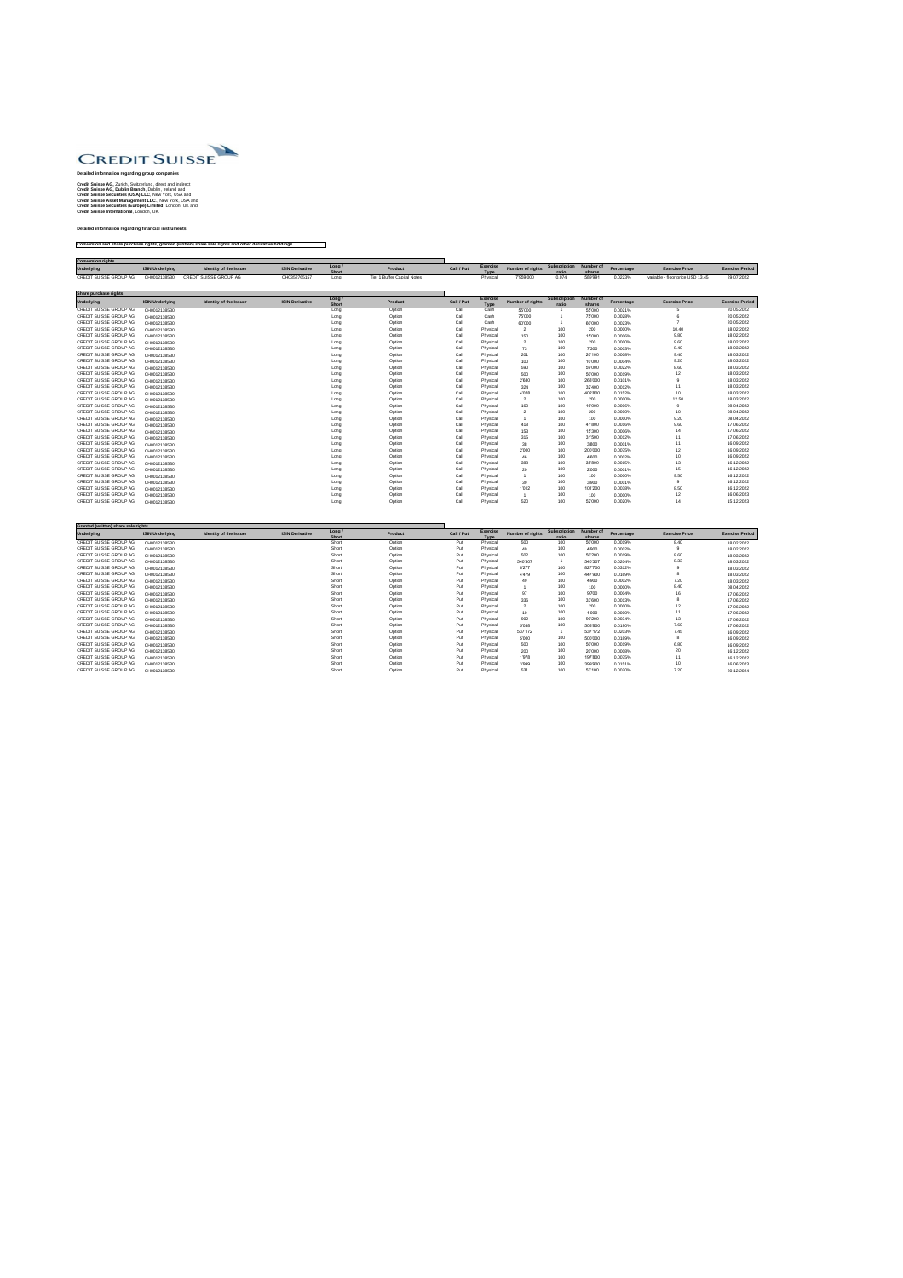

## **Detailed information regarding group companies**

**Credit Suisse AG,** Zurich, Switzerland, direct and indirect **Credit Suisse AG, Dublin Branch**, Dublin, Ireland and **Credit Suisse Securities (USA) LLC**, New York, USA and **Credit Suisse Asset Management LLC**., New York, USA and **Credit Suisse Securities (Europe) Limited**, London, UK and **Credit Suisse International**, London, UK.

**Detailed information regarding financial instruments**

**Conversion and share purchase rights, granted (written) share sale rights and other derivative holdings**

| <b>Conversion rights</b> |                        |                               |                        |                     |                             |            |                 |                         |                        |         |            |                                  |                        |
|--------------------------|------------------------|-------------------------------|------------------------|---------------------|-----------------------------|------------|-----------------|-------------------------|------------------------|---------|------------|----------------------------------|------------------------|
| <b>Underlying</b>        | <b>ISIN Underlying</b> | <b>Identity of the Issuer</b> | <b>ISIN Derivative</b> | Long<br><b>Shon</b> | Product                     | Call / Put | <b>Exercise</b> | <b>Number of rights</b> | Subscription Number of | shares  | Percentage | <b>Exercise Price</b>            | <b>Exercise Period</b> |
| CREDIT SUISSE GROUP AG   | CH0012138530           | CREDIT SUISSE GROUP AG        | CH0352765157           | Long                | Tier 1 Buffer Capital Notes |            |                 | 7'959'000               | 0.074                  | 589'991 | 0.0223%    | variable - floor price USD 13.45 | 29.07.2022             |

| <b>Share purchase rights</b>  |                        |                               |                        |                        |                |            |                                |                         |                              |                     |            |                       |                        |
|-------------------------------|------------------------|-------------------------------|------------------------|------------------------|----------------|------------|--------------------------------|-------------------------|------------------------------|---------------------|------------|-----------------------|------------------------|
| Underlying                    | <b>ISIN Underlying</b> | <b>Identity of the Issuer</b> | <b>ISIN Derivative</b> | Long /<br><b>Short</b> | <b>Product</b> | Call / Put | <b>Exercise</b><br><b>Type</b> | <b>Number of rights</b> | <b>Subscription</b><br>ratio | Number of<br>shares | Percentage | <b>Exercise Price</b> | <b>Exercise Period</b> |
| <b>CREDIT SUISSE GROUP AG</b> | CH0012138530           |                               |                        | Long                   | Option         | Call       | Cash                           | 55'000                  |                              | 55'000              | 0.0021%    |                       | 20.05.2022             |
| CREDIT SUISSE GROUP AG        | CH0012138530           |                               |                        | Long                   | Option         | Call       | Cash                           | 75'000                  |                              | 75'000              | 0.0028%    |                       | 20.05.2022             |
| <b>CREDIT SUISSE GROUP AG</b> | CH0012138530           |                               |                        | Long                   | Option         | Call       | Cash                           | 60'000                  |                              | 60'000              | 0.0023%    |                       | 20.05.2022             |
| CREDIT SUISSE GROUP AG        | CH0012138530           |                               |                        | Long                   | Option         | Call       | Physical                       | $\overline{2}$          | 100                          | 200                 | 0.0000%    | 10.40                 | 18.02.2022             |
| CREDIT SUISSE GROUP AG        | CH0012138530           |                               |                        | Long                   | Option         | Call       | Physical                       | 150                     | 100                          | 15'000              | 0.0006%    | 9.80                  | 18.02.2022             |
| CREDIT SUISSE GROUP AG        | CH0012138530           |                               |                        | Long                   | Option         | Call       | Physical                       | 2                       | 100                          | 200                 | 0.0000%    | 9.60                  | 18.02.2022             |
| CREDIT SUISSE GROUP AG        | CH0012138530           |                               |                        | Long                   | Option         | Call       | Physical                       | 73                      | 100                          | 7'300               | 0.0003%    | 8.40                  | 18.03.2022             |
| CREDIT SUISSE GROUP AG        | CH0012138530           |                               |                        | Long                   | Option         | Call       | Physical                       | 201                     | 100                          | 20'100              | 0.0008%    | 9.40                  | 18.03.2022             |
| <b>CREDIT SUISSE GROUP AG</b> | CH0012138530           |                               |                        | Long                   | Option         | Call       | Physical                       | 100                     | 100                          | 10'000              | 0.0004%    | 9.20                  | 18.03.2022             |
| <b>CREDIT SUISSE GROUP AG</b> | CH0012138530           |                               |                        | Long                   | Option         | Call       | Physical                       | 590                     | 100                          | 59'000              | 0.0022%    | 8.60                  | 18.03.2022             |
| CREDIT SUISSE GROUP AG        | CH0012138530           |                               |                        | Long                   | Option         | Call       | Physical                       | 500                     | 100                          | 50'000              | 0.0019%    | 12                    | 18.03.2022             |
| CREDIT SUISSE GROUP AG        | CH0012138530           |                               |                        | Long                   | Option         | Call       | Physical                       | 2'680                   | 100                          | 268'000             | 0.0101%    |                       | 18.03.2022             |
| CREDIT SUISSE GROUP AG        | CH0012138530           |                               |                        | Long                   | Option         | Call       | Physical                       | 324                     | 100                          | 32'400              | 0.0012%    | 11                    | 18.03.2022             |
| CREDIT SUISSE GROUP AG        | CH0012138530           |                               |                        | Long                   | Option         | Call       | Physical                       | 4'028                   | 100                          | 402'800             | 0.0152%    | 10 <sup>°</sup>       | 18.03.2022             |
| CREDIT SUISSE GROUP AG        | CH0012138530           |                               |                        | Long                   | Option         | Call       | Physical                       | 2                       | 100                          | 200                 | 0.0000%    | 12.50                 | 18.03.2022             |
| <b>CREDIT SUISSE GROUP AG</b> | CH0012138530           |                               |                        | Long                   | Option         | Call       | Physical                       | 160                     | 100                          | 16'000              | 0.0006%    |                       | 08.04.2022             |
| CREDIT SUISSE GROUP AG        | CH0012138530           |                               |                        | Long                   | Option         | Call       | Physical                       | $\overline{2}$          | 100                          | 200                 | 0.0000%    | 10                    | 08.04.2022             |
| CREDIT SUISSE GROUP AG        | CH0012138530           |                               |                        | Long                   | Option         | Call       | Physical                       |                         | 100                          | 100                 | 0.0000%    | 9.20                  | 08.04.2022             |
| CREDIT SUISSE GROUP AG        | CH0012138530           |                               |                        | Long                   | Option         | Call       | Physical                       | 418                     | 100                          | 41'800              | 0.0016%    | 9.60                  | 17.06.2022             |
| <b>CREDIT SUISSE GROUP AG</b> | CH0012138530           |                               |                        | Long                   | Option         | Call       | Physical                       | 153                     | 100                          | 15'300              | 0.0006%    |                       | 17.06.2022             |
| CREDIT SUISSE GROUP AG        | CH0012138530           |                               |                        | Long                   | Option         | Call       | Physical                       | 315                     | 100                          | 31'500              | 0.0012%    | 11                    | 17.06.2022             |
| CREDIT SUISSE GROUP AG        | CH0012138530           |                               |                        | Long                   | Option         | Call       | Physical                       | 38                      | 100                          | 3'800               | 0.0001%    | 11                    | 16.09.2022             |
| CREDIT SUISSE GROUP AG        | CH0012138530           |                               |                        | Long                   | Option         | Call       | Physical                       | 2'000                   | 100                          | 200'000             | 0.0075%    | 12                    | 16.09.2022             |
| <b>CREDIT SUISSE GROUP AG</b> | CH0012138530           |                               |                        | Long                   | Option         | Call       | Physical                       | 46                      | 100                          | 4'600               | 0.0002%    | 10                    | 16.09.2022             |
| CREDIT SUISSE GROUP AG        | CH0012138530           |                               |                        | Long                   | Option         | Call       | Physical                       | 388                     | 100                          | 38'800              | 0.0015%    | 13                    | 16.12.2022             |
| <b>CREDIT SUISSE GROUP AG</b> | CH0012138530           |                               |                        | Long                   | Option         | Call       | Physical                       | 20                      | 100                          | 2'000               | 0.0001%    | 15                    | 16.12.2022             |
| CREDIT SUISSE GROUP AG        | CH0012138530           |                               |                        | Long                   | Option         | Call       | Physical                       |                         | 100                          | 100                 | 0.0000%    | 9.50                  | 16.12.2022             |
| <b>CREDIT SUISSE GROUP AG</b> | CH0012138530           |                               |                        | Long                   | Option         | Call       | Physical                       | 39                      | 100                          | 3'900               | 0.0001%    |                       | 16.12.2022             |
| CREDIT SUISSE GROUP AG        | CH0012138530           |                               |                        | Long                   | Option         | Call       | Physical                       | 1'012                   | 100                          | 101'200             | 0.0038%    | 8.50                  | 16.12.2022             |
| CREDIT SUISSE GROUP AG        | CH0012138530           |                               |                        | Long                   | Option         | Call       | Physical                       |                         | 100                          | 100                 | 0.0000%    | 12                    | 16.06.2023             |
| <b>CREDIT SUISSE GROUP AG</b> | CH0012138530           |                               |                        | Long                   | Option         | Call       | Physical                       | 520                     | 100                          | 52'000              | 0.0020%    | 14                    | 15.12.2023             |

|                               | Granted (written) share sale rights |                               |                        |                        |                |            |                                |                         |                              |                     |            |                       |                        |
|-------------------------------|-------------------------------------|-------------------------------|------------------------|------------------------|----------------|------------|--------------------------------|-------------------------|------------------------------|---------------------|------------|-----------------------|------------------------|
| <b>Underlying</b>             | <b>ISIN Underlying</b>              | <b>Identity of the Issuer</b> | <b>ISIN Derivative</b> | Long /<br><b>Short</b> | <b>Product</b> | Call / Put | <b>Exercise</b><br><b>Type</b> | <b>Number of rights</b> | <b>Subscription</b><br>ratio | Number of<br>shares | Percentage | <b>Exercise Price</b> | <b>Exercise Period</b> |
| <b>CREDIT SUISSE GROUP AG</b> | CH0012138530                        |                               |                        | Short                  | Option         | Put        | Physical                       | 500                     | 100                          | 50'000              | 0.0019%    | 8.40                  | 18.02.2022             |
| CREDIT SUISSE GROUP AG        | CH0012138530                        |                               |                        | Short                  | Option         | Put        | Physical                       | 49                      | 100                          | 4'900               | 0.0002%    |                       | 18.02.2022             |
| CREDIT SUISSE GROUP AG        | CH0012138530                        |                               |                        | Short                  | Option         | Put        | Physical                       | 502                     | 100                          | 50'200              | 0.0019%    | 8.60                  | 18.03.2022             |
| CREDIT SUISSE GROUP AG        | CH0012138530                        |                               |                        | Short                  | Option         | Put        | Physical                       | 540'307                 |                              | 540'307             | 0.0204%    | 8.33                  | 18.03.2022             |
| CREDIT SUISSE GROUP AG        | CH0012138530                        |                               |                        | Short                  | Option         | Put        | Physical                       | 8'277                   | 100                          | 827'700             | 0.0312%    |                       | 18.03.2022             |
| CREDIT SUISSE GROUP AG        | CH0012138530                        |                               |                        | Short                  | Option         | Put        | Physical                       | 4'479                   | 100                          | 447'900             | 0.0169%    |                       | 18.03.2022             |
| CREDIT SUISSE GROUP AG        | CH0012138530                        |                               |                        | Short                  | Option         | Put        | Physical                       | 49                      | 100                          | 4'900               | 0.0002%    | 7.20                  | 18.03.2022             |
| CREDIT SUISSE GROUP AG        | CH0012138530                        |                               |                        | Short                  | Option         | Put        | Physical                       |                         | 100                          | 100                 | 0.0000%    | 8.40                  | 08.04.2022             |
| CREDIT SUISSE GROUP AG        | CH0012138530                        |                               |                        | Short                  | Option         | Put        | Physical                       | 97                      | 100                          | 9'700               | 0.0004%    | 16                    | 17.06.2022             |
| CREDIT SUISSE GROUP AG        | CH0012138530                        |                               |                        | Short                  | Option         | Put        | Physical                       | 336                     | 100                          | 33'600              | 0.0013%    |                       | 17.06.2022             |
| CREDIT SUISSE GROUP AG        | CH0012138530                        |                               |                        | Short                  | Option         | Put        | Physical                       |                         | 100                          | 200                 | 0.0000%    | 12                    | 17.06.2022             |
| CREDIT SUISSE GROUP AG        | CH0012138530                        |                               |                        | Short                  | Option         | Put        | Physical                       | 10 <sup>1</sup>         | 100                          | 1'000               | 0.0000%    | 11                    | 17.06.2022             |
| CREDIT SUISSE GROUP AG        | CH0012138530                        |                               |                        | Short                  | Option         | Put        | Physical                       | 902                     | 100                          | 90'200              | 0.0034%    | 13                    | 17.06.2022             |
| CREDIT SUISSE GROUP AG        | CH0012138530                        |                               |                        | Short                  | Option         | Put        | Physical                       | 5'038                   | 100                          | 503'800             | 0.0190%    | 7.60                  | 17.06.2022             |
| CREDIT SUISSE GROUP AG        | CH0012138530                        |                               |                        | Short                  | Option         | Put        | Physical                       | 537'172                 |                              | 537'172             | 0.0203%    | 7.45                  | 16.09.2022             |
| CREDIT SUISSE GROUP AG        | CH0012138530                        |                               |                        | Short                  | Option         | Put        | Physical                       | 5'000                   | 100                          | 500'000             | 0.0189%    | O                     | 16.09.2022             |
| CREDIT SUISSE GROUP AG        | CH0012138530                        |                               |                        | Short                  | Option         | Put        | Physical                       | 500                     | 100                          | 50'000              | 0.0019%    | 6.80                  | 16.09.2022             |
| CREDIT SUISSE GROUP AG        | CH0012138530                        |                               |                        | Short                  | Option         | Put        | Physical                       | 200                     | 100                          | 20'000              | 0.0008%    | 20                    | 16.12.2022             |
| CREDIT SUISSE GROUP AG        | CH0012138530                        |                               |                        | Short                  | Option         | Put        | Physical                       | 1'978                   | 100                          | 197'800             | 0.0075%    | 11                    | 16.12.2022             |
| CREDIT SUISSE GROUP AG        | CH0012138530                        |                               |                        | Short                  | Option         | Put        | Physical                       | 3'999                   | 100                          | 399'900             | 0.0151%    | 10                    | 16.06.2023             |
| CREDIT SUISSE GROUP AG        | CH0012138530                        |                               |                        | Short                  | Option         | Put        | Physical                       | 531                     | 100                          | 53'100              | 0.0020%    | 7.20                  | 20.12.2024             |